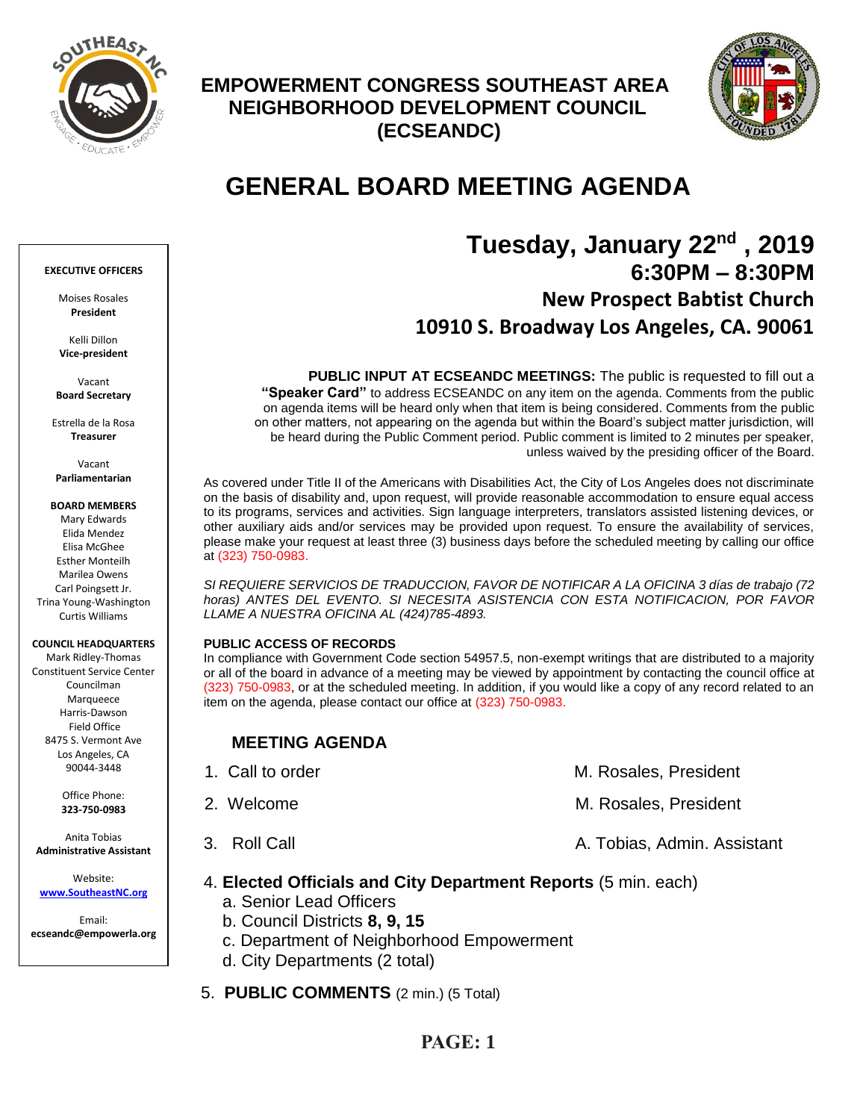

## **EMPOWERMENT CONGRESS SOUTHEAST AREA NEIGHBORHOOD DEVELOPMENT COUNCIL (ECSEANDC)**



# **GENERAL BOARD MEETING AGENDA**

## **Tuesday, January 22nd , 2019 6:30PM – 8:30PM New Prospect Babtist Church 10910 S. Broadway Los Angeles, CA. 90061**

**PUBLIC INPUT AT ECSEANDC MEETINGS:** The public is requested to fill out a **"Speaker Card"** to address ECSEANDC on any item on the agenda. Comments from the public on agenda items will be heard only when that item is being considered. Comments from the public on other matters, not appearing on the agenda but within the Board's subject matter jurisdiction, will be heard during the Public Comment period. Public comment is limited to 2 minutes per speaker, unless waived by the presiding officer of the Board.

As covered under Title II of the Americans with Disabilities Act, the City of Los Angeles does not discriminate on the basis of disability and, upon request, will provide reasonable accommodation to ensure equal access to its programs, services and activities. Sign language interpreters, translators assisted listening devices, or other auxiliary aids and/or services may be provided upon request. To ensure the availability of services, please make your request at least three (3) business days before the scheduled meeting by calling our office at (323) 750-0983.

*SI REQUIERE SERVICIOS DE TRADUCCION, FAVOR DE NOTIFICAR A LA OFICINA 3 días de trabajo (72*  horas) ANTES DEL EVENTO. SI NECESITA ASISTENCIA CON ESTA NOTIFICACION, POR FAVOR *LLAME A NUESTRA OFICINA AL (424)785-4893.*

### **PUBLIC ACCESS OF RECORDS**

In compliance with Government Code section 54957.5, non-exempt writings that are distributed to a majority or all of the board in advance of a meeting may be viewed by appointment by contacting the council office at (323) 750-0983, or at the scheduled meeting. In addition, if you would like a copy of any record related to an item on the agenda, please contact our office at (323) 750-0983.

### **MEETING AGENDA**

| 1. Call to order | M. Rosales, President       |
|------------------|-----------------------------|
| 2. Welcome       | M. Rosales, President       |
| 3. Roll Call     | A. Tobias, Admin. Assistant |

### 4. **Elected Officials and City Department Reports** (5 min. each)

- a. Senior Lead Officers
- b. Council Districts **8, 9, 15**
- c. Department of Neighborhood Empowerment
- d. City Departments (2 total)
- 5. **PUBLIC COMMENTS** (2 min.) (5 Total)

### Moises Rosales **President**

Kelli Dillon **Vice-president**

**EXECUTIVE OFFICERS**

Vacant **Board Secretary**

Estrella de la Rosa **Treasurer**

Vacant **Parliamentarian**

**BOARD MEMBERS**

Mary Edwards Elida Mendez Elisa McGhee Esther Monteilh Marilea Owens Carl Poingsett Jr. Trina Young-Washington Curtis Williams

### **COUNCIL HEADQUARTERS**

Mark Ridley-Thomas Constituent Service Center Councilman Marqueece Harris-Dawson Field Office 8475 S. Vermont Ave Los Angeles, CA 90044-3448

> Office Phone: **323-750-0983**

Anita Tobias **Administrative Assistant**

Website: **[www.SoutheastNC.org](http://www.ecseandc.org/)**

Email: **ecseandc@empowerla.org**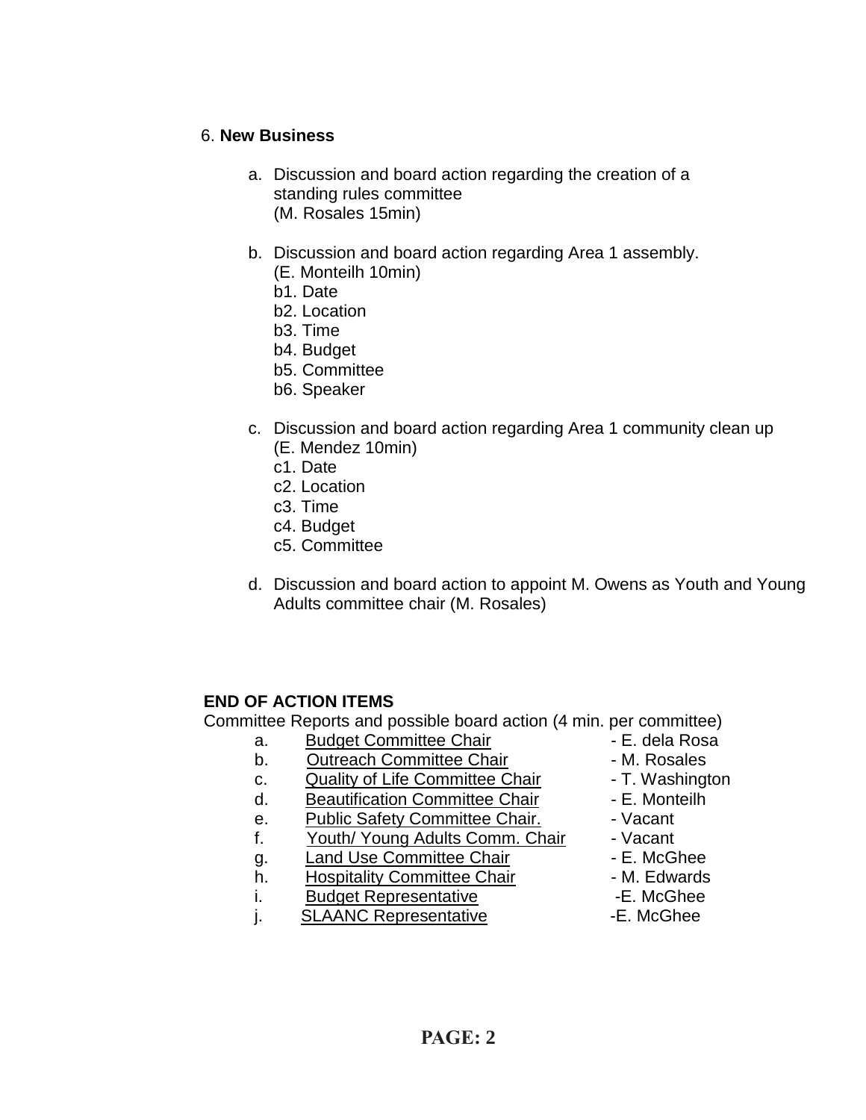### 6. **New Business**

- a. Discussion and board action regarding the creation of a standing rules committee (M. Rosales 15min)
- b. Discussion and board action regarding Area 1 assembly. (E. Monteilh 10min)
	- b1. Date
	- b2. Location
	- b3. Time
	- b4. Budget
	- b5. Committee
	- b6. Speaker
- c. Discussion and board action regarding Area 1 community clean up
	- (E. Mendez 10min)
	- c1. Date
	- c2. Location
	- c3. Time
	- c4. Budget
	- c5. Committee
- d. Discussion and board action to appoint M. Owens as Youth and Young Adults committee chair (M. Rosales)

## **END OF ACTION ITEMS**

Committee Reports and possible board action (4 min. per committee)

- a. Budget Committee Chair **1988** E. dela Rosa
- b. Outreach Committee Chair **Day 1. 1. Solut Franch Committee Chair M. Rosales**
- c. Quality of Life Committee Chair T. Washington
- d. Beautification Committee Chair E. Monteilh
- e. Public Safety Committee Chair. Vacant
- f. Youth/ Young Adults Comm. Chair Vacant
- q. Land Use Committee Chair **E. McGhee**
- h. Hospitality Committee Chair M. Edwards
- i. Budget Representative **E.** McGhee
- j. SLAANC Representative -E. McGhee
- 
- 
- 
- 
- 
- 
- 
- 
- 
-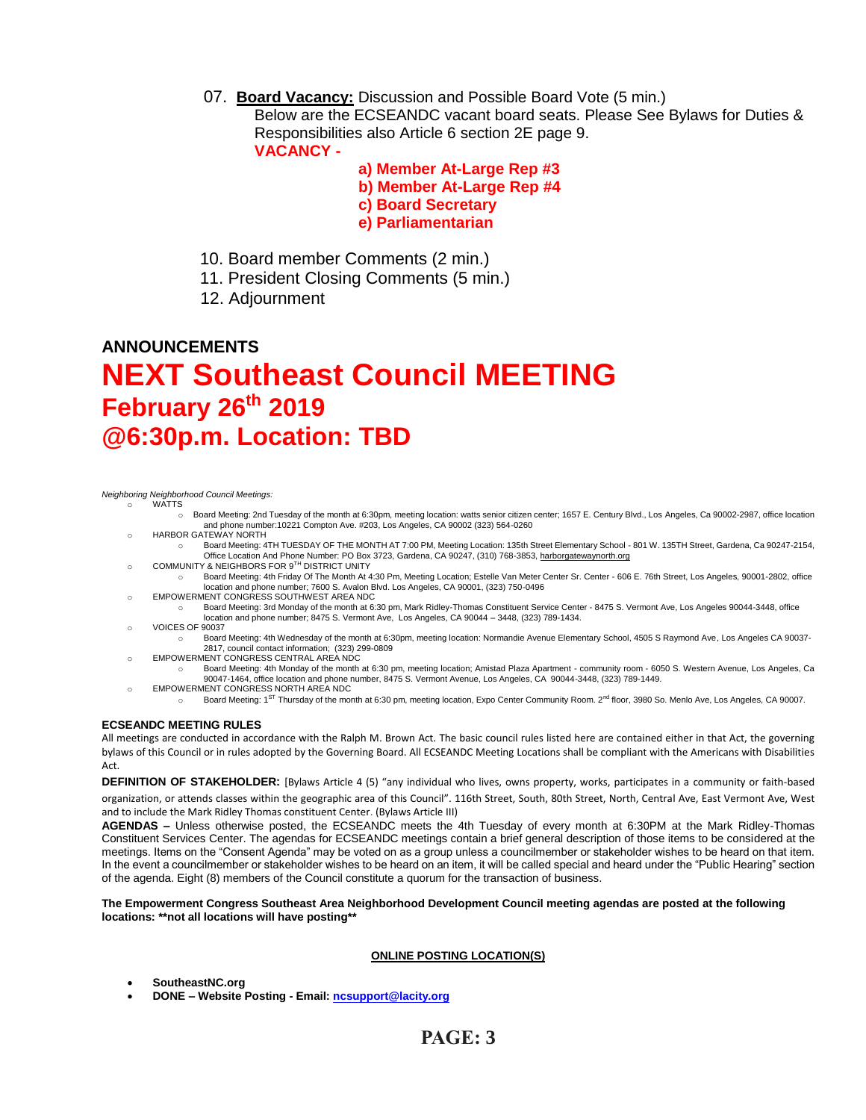07. **Board Vacancy:** Discussion and Possible Board Vote (5 min.)

Below are the ECSEANDC vacant board seats. Please See Bylaws for Duties & Responsibilities also Article 6 section 2E page 9. **VACANCY -**

> **a) Member At-Large Rep #3 b) Member At-Large Rep #4 c) Board Secretary e) Parliamentarian**

- 10. Board member Comments (2 min.)
- 11. President Closing Comments (5 min.)
- 12. Adjournment

# **ANNOUNCEMENTS NEXT Southeast Council MEETING February 26th 2019 @6:30p.m. Location: TBD**

#### *Neighboring Neighborhood Council Meetings:*

- oonny Norghbor<br>o WATTS
	- o Board Meeting: 2nd Tuesday of the month at 6:30pm, meeting location: watts senior citizen center; 1657 E. Century Blvd., Los Angeles, Ca 90002-2987, office location and phone number:10221 Compton Ave. #203, Los Angeles, CA 90002 (323) 564-0260
	- o HARBOR GATEWAY NORTH
	- o Board Meeting: 4TH TUESDAY OF THE MONTH AT 7:00 PM, Meeting Location: 135th Street Elementary School 801 W. 135TH Street, Gardena, Ca 90247-2154, om Coffice Location And Phone Number: PO Box 3723, Gardena, CA 90247, (310) 768-3853, <u>harborgatewaynorth.org وC</u>OMMUNITY & NEIGHBORS FOR 9<sup>TH</sup> DISTRICT UNITY
	- o Board Meeting: 4th Friday Of The Month At 4:30 Pm, Meeting Location; Estelle Van Meter Center Sr. Center 606 E. 76th Street, Los Angeles, 90001-2802, office location and phone number; 7600 S. Avalon Blvd. Los Angeles, CA 90001, (323) 750-0496
	- o EMPOWERMENT CONGRESS SOUTHWEST AREA NDC
		- o Board Meeting: 3rd Monday of the month at 6:30 pm, Mark Ridley-Thomas Constituent Service Center 8475 S. Vermont Ave, Los Angeles 90044-3448, office location and phone number; 8475 S. Vermont Ave, Los Angeles, CA 90044 – 3448, (323) 789-1434.
	- o VOICES OF 90037
		- Board Meeting: 4th Wednesday of the month at 6:30pm, meeting location: Normandie Avenue Elementary School, 4505 S Raymond Ave, Los Angeles CA 90037-2817, council contact information; (323) 299-0809
	- o EMPOWERMENT CONGRESS CENTRAL AREA NDC
	- o Board Meeting: 4th Monday of the month at 6:30 pm, meeting location; Amistad Plaza Apartment community room 6050 S. Western Avenue, Los Angeles, Ca 90047-1464, office location and phone number, 8475 S. Vermont Avenue, Los Angeles, CA 90044-3448, (323) 789-1449.
		-
	- EMPOWERMENT CONGRESS NORTH AREA NDC<br>○ Board Meeting: 1<sup>ST</sup> Thursday of the month at 6:30 pm, meeting location, Expo Center Community Room. 2<sup>nd</sup> floor, 3980 So. Menlo Ave, Los Angeles, CA 90007.

#### **ECSEANDC MEETING RULES**

All meetings are conducted in accordance with the Ralph M. Brown Act. The basic council rules listed here are contained either in that Act, the governing bylaws of this Council or in rules adopted by the Governing Board. All ECSEANDC Meeting Locations shall be compliant with the Americans with Disabilities Act.

**DEFINITION OF STAKEHOLDER:** [Bylaws Article 4 (5) "any individual who lives, owns property, works, participates in a community or faith-based organization, or attends classes within the geographic area of this Council". 116th Street, South, 80th Street, North, Central Ave, East Vermont Ave, West and to include the Mark Ridley Thomas constituent Center. (Bylaws Article III)

**AGENDAS –** Unless otherwise posted, the ECSEANDC meets the 4th Tuesday of every month at 6:30PM at the Mark Ridley-Thomas Constituent Services Center. The agendas for ECSEANDC meetings contain a brief general description of those items to be considered at the meetings. Items on the "Consent Agenda" may be voted on as a group unless a councilmember or stakeholder wishes to be heard on that item. In the event a councilmember or stakeholder wishes to be heard on an item, it will be called special and heard under the "Public Hearing" section of the agenda. Eight (8) members of the Council constitute a quorum for the transaction of business.

#### **The Empowerment Congress Southeast Area Neighborhood Development Council meeting agendas are posted at the following locations: \*\*not all locations will have posting\*\***

### **ONLINE POSTING LOCATION(S)**

- **SoutheastNC.org**
- **DONE – Website Posting - Email[: ncsupport@lacity.org](mailto:ncsupport@lacity.org)**

## **PAGE: 3**